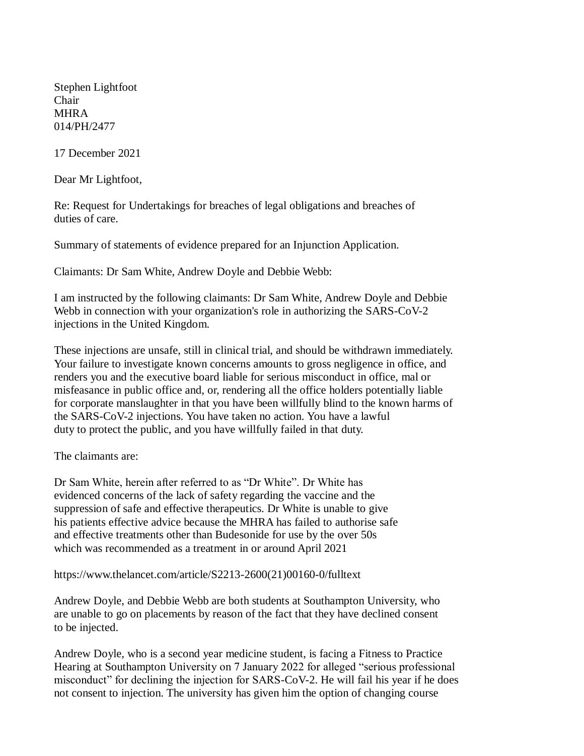Stephen Lightfoot Chair **MHRA** 014/PH/2477

17 December 2021

Dear Mr Lightfoot,

Re: Request for Undertakings for breaches of legal obligations and breaches of duties of care.

Summary of statements of evidence prepared for an Injunction Application.

Claimants: Dr Sam White, Andrew Doyle and Debbie Webb:

I am instructed by the following claimants: Dr Sam White, Andrew Doyle and Debbie Webb in connection with your organization's role in authorizing the SARS-CoV-2 injections in the United Kingdom.

These injections are unsafe, still in clinical trial, and should be withdrawn immediately. Your failure to investigate known concerns amounts to gross negligence in office, and renders you and the executive board liable for serious misconduct in office, mal or misfeasance in public office and, or, rendering all the office holders potentially liable for corporate manslaughter in that you have been willfully blind to the known harms of the SARS-CoV-2 injections. You have taken no action. You have a lawful duty to protect the public, and you have willfully failed in that duty.

The claimants are:

Dr Sam White, herein after referred to as "Dr White". Dr White has evidenced concerns of the lack of safety regarding the vaccine and the suppression of safe and effective therapeutics. Dr White is unable to give his patients effective advice because the MHRA has failed to authorise safe and effective treatments other than Budesonide for use by the over 50s which was recommended as a treatment in or around April 2021

[https://www.thelancet.com/article/S2213-2600\(21\)00160-0/fulltext](https://www.thelancet.com/article/S2213-2600(21)00160-0/fulltext)

Andrew Doyle, and Debbie Webb are both students at Southampton University, who are unable to go on placements by reason of the fact that they have declined consent to be injected.

Andrew Doyle, who is a second year medicine student, is facing a Fitness to Practice Hearing at Southampton University on 7 January 2022 for alleged "serious professional misconduct" for declining the injection for SARS-CoV-2. He will fail his year if he does not consent to injection. The university has given him the option of changing course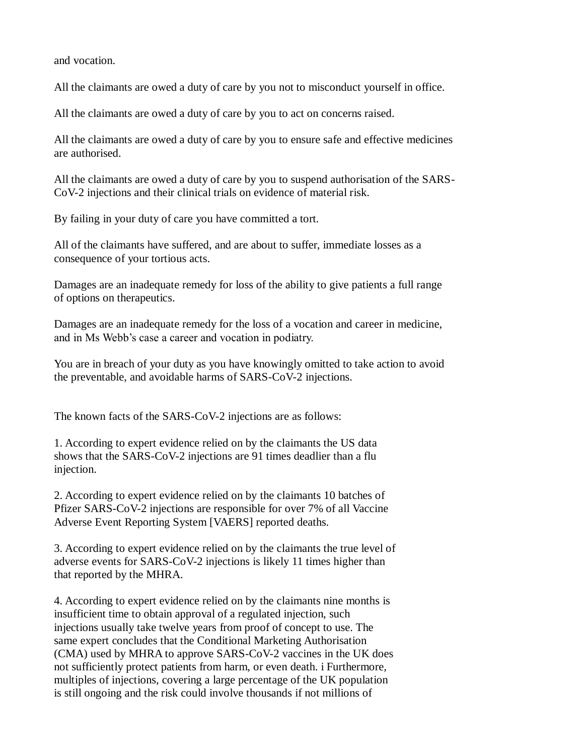and vocation.

All the claimants are owed a duty of care by you not to misconduct yourself in office.

All the claimants are owed a duty of care by you to act on concerns raised.

All the claimants are owed a duty of care by you to ensure safe and effective medicines are authorised.

All the claimants are owed a duty of care by you to suspend authorisation of the SARS-CoV-2 injections and their clinical trials on evidence of material risk.

By failing in your duty of care you have committed a tort.

All of the claimants have suffered, and are about to suffer, immediate losses as a consequence of your tortious acts.

Damages are an inadequate remedy for loss of the ability to give patients a full range of options on therapeutics.

Damages are an inadequate remedy for the loss of a vocation and career in medicine, and in Ms Webb's case a career and vocation in podiatry.

You are in breach of your duty as you have knowingly omitted to take action to avoid the preventable, and avoidable harms of SARS-CoV-2 injections.

The known facts of the SARS-CoV-2 injections are as follows:

1. According to expert evidence relied on by the claimants the US data shows that the SARS-CoV-2 injections are 91 times deadlier than a flu injection.

2. According to expert evidence relied on by the claimants 10 batches of Pfizer SARS-CoV-2 injections are responsible for over 7% of all Vaccine Adverse Event Reporting System [VAERS] reported deaths.

3. According to expert evidence relied on by the claimants the true level of adverse events for SARS-CoV-2 injections is likely 11 times higher than that reported by the MHRA.

4. According to expert evidence relied on by the claimants nine months is insufficient time to obtain approval of a regulated injection, such injections usually take twelve years from proof of concept to use. The same expert concludes that the Conditional Marketing Authorisation (CMA) used by MHRA to approve SARS-CoV-2 vaccines in the UK does not sufficiently protect patients from harm, or even death. i Furthermore, multiples of injections, covering a large percentage of the UK population is still ongoing and the risk could involve thousands if not millions of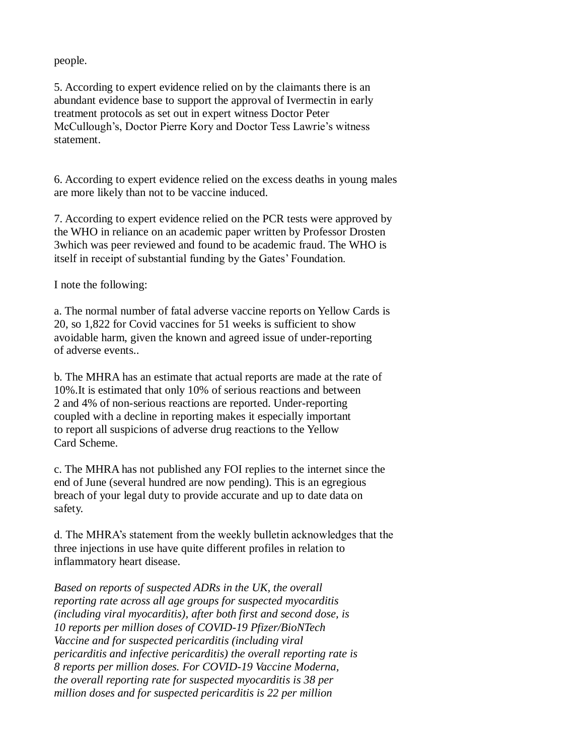people.

5. According to expert evidence relied on by the claimants there is an abundant evidence base to support the approval of Ivermectin in early treatment protocols as set out in expert witness Doctor Peter McCullough's, Doctor Pierre Kory and Doctor Tess Lawrie's witness statement.

6. According to expert evidence relied on the excess deaths in young males are more likely than not to be vaccine induced.

7. According to expert evidence relied on the PCR tests were approved by the WHO in reliance on an academic paper written by Professor Drosten 3which was peer reviewed and found to be academic fraud. The WHO is itself in receipt of substantial funding by the Gates' Foundation.

I note the following:

a. The normal number of fatal adverse vaccine reports on Yellow Cards is 20, so 1,822 for Covid vaccines for 51 weeks is sufficient to show avoidable harm, given the known and agreed issue of under-reporting of adverse events..

b. The MHRA has an estimate that actual reports are made at the rate of 10%.It is estimated that only 10% of serious reactions and between 2 and 4% of non-serious reactions are reported. Under-reporting coupled with a decline in reporting makes it especially important to report all suspicions of adverse drug reactions to the Yellow Card Scheme.

c. The MHRA has not published any FOI replies to the internet since the end of June (several hundred are now pending). This is an egregious breach of your legal duty to provide accurate and up to date data on safety.

d. The MHRA's statement from the weekly bulletin acknowledges that the three injections in use have quite different profiles in relation to inflammatory heart disease.

*Based on reports of suspected ADRs in the UK, the overall reporting rate across all age groups for suspected myocarditis (including viral myocarditis), after both first and second dose, is 10 reports per million doses of COVID-19 Pfizer/BioNTech Vaccine and for suspected pericarditis (including viral pericarditis and infective pericarditis) the overall reporting rate is 8 reports per million doses. For COVID-19 Vaccine Moderna, the overall reporting rate for suspected myocarditis is 38 per million doses and for suspected pericarditis is 22 per million*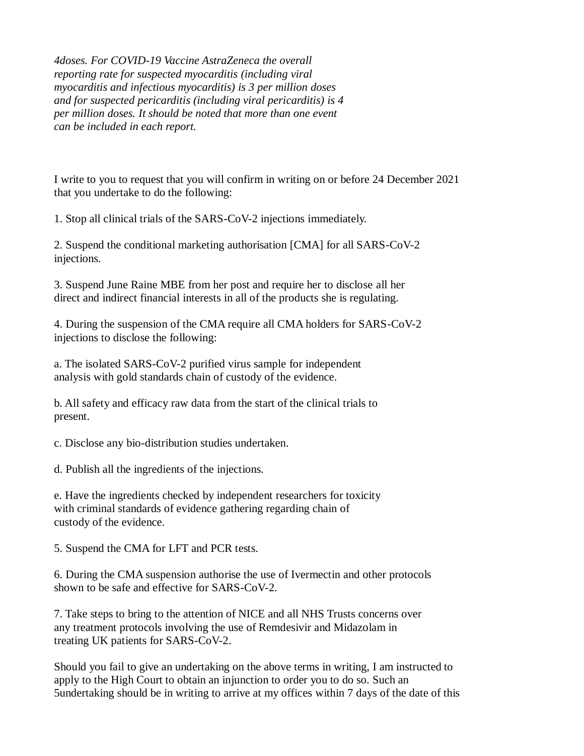*4doses. For COVID-19 Vaccine AstraZeneca the overall reporting rate for suspected myocarditis (including viral myocarditis and infectious myocarditis) is 3 per million doses and for suspected pericarditis (including viral pericarditis) is 4 per million doses. It should be noted that more than one event can be included in each report.*

I write to you to request that you will confirm in writing on or before 24 December 2021 that you undertake to do the following:

1. Stop all clinical trials of the SARS-CoV-2 injections immediately.

2. Suspend the conditional marketing authorisation [CMA] for all SARS-CoV-2 injections.

3. Suspend June Raine MBE from her post and require her to disclose all her direct and indirect financial interests in all of the products she is regulating.

4. During the suspension of the CMA require all CMA holders for SARS-CoV-2 injections to disclose the following:

a. The isolated SARS-CoV-2 purified virus sample for independent analysis with gold standards chain of custody of the evidence.

b. All safety and efficacy raw data from the start of the clinical trials to present.

c. Disclose any bio-distribution studies undertaken.

d. Publish all the ingredients of the injections.

e. Have the ingredients checked by independent researchers for toxicity with criminal standards of evidence gathering regarding chain of custody of the evidence.

5. Suspend the CMA for LFT and PCR tests.

6. During the CMA suspension authorise the use of Ivermectin and other protocols shown to be safe and effective for SARS-CoV-2.

7. Take steps to bring to the attention of NICE and all NHS Trusts concerns over any treatment protocols involving the use of Remdesivir and Midazolam in treating UK patients for SARS-CoV-2.

Should you fail to give an undertaking on the above terms in writing, I am instructed to apply to the High Court to obtain an injunction to order you to do so. Such an 5undertaking should be in writing to arrive at my offices within 7 days of the date of this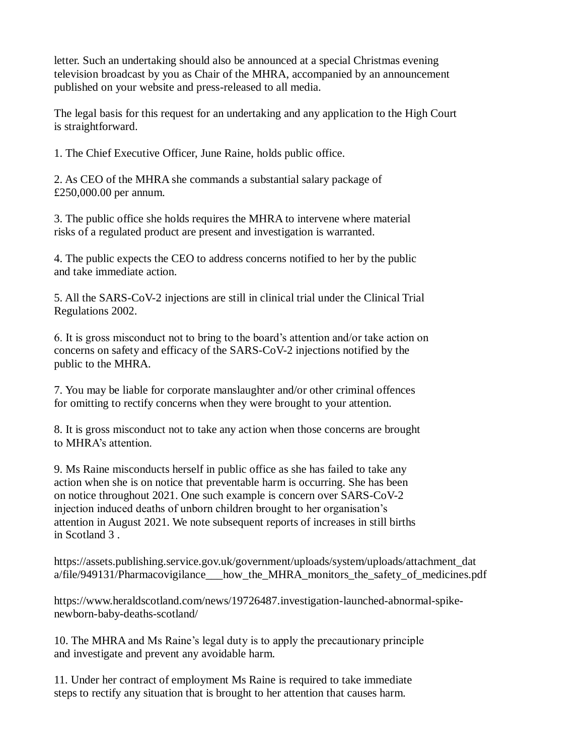letter. Such an undertaking should also be announced at a special Christmas evening television broadcast by you as Chair of the MHRA, accompanied by an announcement published on your website and press-released to all media.

The legal basis for this request for an undertaking and any application to the High Court is straightforward.

1. The Chief Executive Officer, June Raine, holds public office.

2. As CEO of the MHRA she commands a substantial salary package of £250,000.00 per annum.

3. The public office she holds requires the MHRA to intervene where material risks of a regulated product are present and investigation is warranted.

4. The public expects the CEO to address concerns notified to her by the public and take immediate action.

5. All the SARS-CoV-2 injections are still in clinical trial under the Clinical Trial Regulations 2002.

6. It is gross misconduct not to bring to the board's attention and/or take action on concerns on safety and efficacy of the SARS-CoV-2 injections notified by the public to the MHRA.

7. You may be liable for corporate manslaughter and/or other criminal offences for omitting to rectify concerns when they were brought to your attention.

8. It is gross misconduct not to take any action when those concerns are brought to MHRA's attention.

9. Ms Raine misconducts herself in public office as she has failed to take any action when she is on notice that preventable harm is occurring. She has been on notice throughout 2021. One such example is concern over SARS-CoV-2 injection induced deaths of unborn children brought to her organisation's attention in August 2021. We note subsequent reports of increases in still births in Scotland 3 .

https://assets.publishing.service.gov.uk/government/uploads/system/uploads/attachment\_dat a/file/949131/Pharmacovigilance how the MHRA monitors the safety of medicines.pdf

https://www.heraldscotland.com/news/19726487.investigation-launched-abnormal-spikenewborn-baby-deaths-scotland/

10. The MHRA and Ms Raine's legal duty is to apply the precautionary principle and investigate and prevent any avoidable harm.

11. Under her contract of employment Ms Raine is required to take immediate steps to rectify any situation that is brought to her attention that causes harm.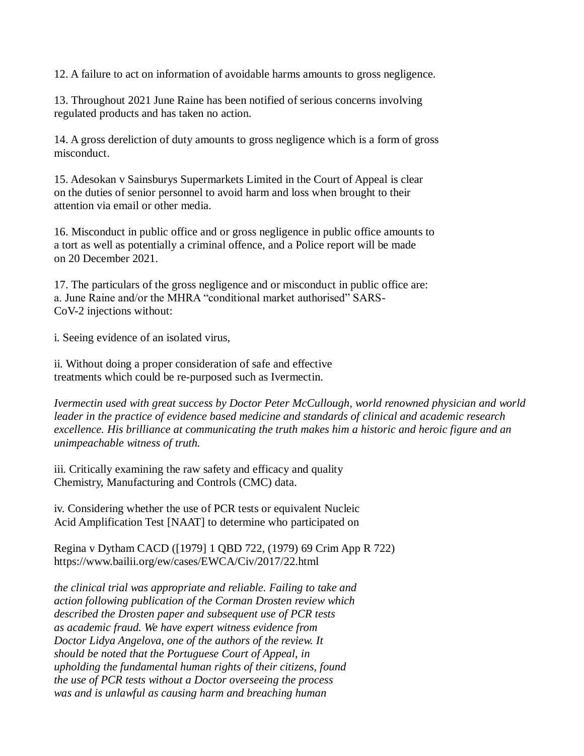12. A failure to act on information of avoidable harms amounts to gross negligence.

13. Throughout 2021 June Raine has been notified of serious concerns involving regulated products and has taken no action.

14. A gross dereliction of duty amounts to gross negligence which is a form of gross misconduct.

15. Adesokan v Sainsburys Supermarkets Limited in the Court of Appeal is clear on the duties of senior personnel to avoid harm and loss when brought to their attention via email or other media.

16. Misconduct in public office and or gross negligence in public office amounts to a tort as well as potentially a criminal offence, and a Police report will be made on 20 December 2021.

17. The particulars of the gross negligence and or misconduct in public office are: a. June Raine and/or the MHRA "conditional market authorised" SARS-CoV-2 injections without:

i. Seeing evidence of an isolated virus,

ii. Without doing a proper consideration of safe and effective treatments which could be re-purposed such as Ivermectin.

*Ivermectin used with great success by Doctor Peter McCullough, world renowned physician and world leader in the practice of evidence based medicine and standards of clinical and academic research excellence. His brilliance at communicating the truth makes him a historic and heroic figure and an unimpeachable witness of truth.*

iii. Critically examining the raw safety and efficacy and quality Chemistry, Manufacturing and Controls (CMC) data.

iv. Considering whether the use of PCR tests or equivalent Nucleic Acid Amplification Test [NAAT] to determine who participated on

Regina v Dytham CACD ([1979] 1 QBD 722, (1979) 69 Crim App R 722) <https://www.bailii.org/ew/cases/EWCA/Civ/2017/22.html>

*the clinical trial was appropriate and reliable. Failing to take and action following publication of the Corman Drosten review which described the Drosten paper and subsequent use of PCR tests as academic fraud. We have expert witness evidence from Doctor Lidya Angelova, one of the authors of the review. It should be noted that the Portuguese Court of Appeal, in upholding the fundamental human rights of their citizens, found the use of PCR tests without a Doctor overseeing the process was and is unlawful as causing harm and breaching human*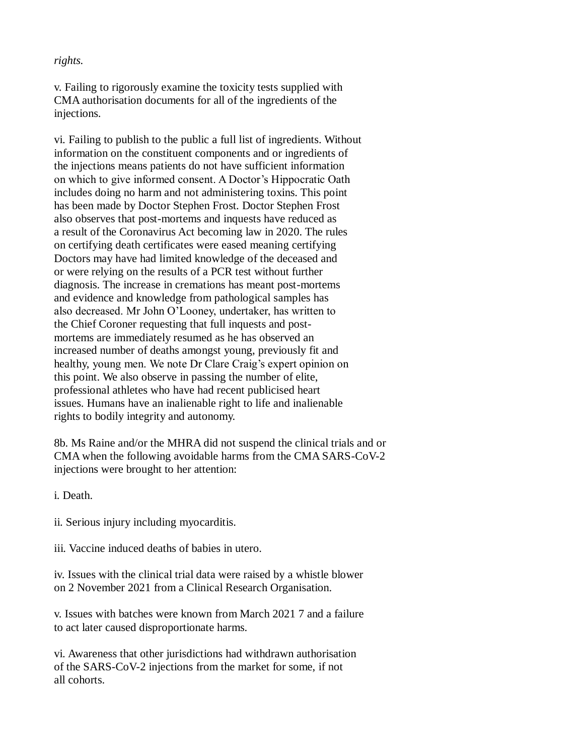## *rights.*

v. Failing to rigorously examine the toxicity tests supplied with CMA authorisation documents for all of the ingredients of the injections.

vi. Failing to publish to the public a full list of ingredients. Without information on the constituent components and or ingredients of the injections means patients do not have sufficient information on which to give informed consent. A Doctor's Hippocratic Oath includes doing no harm and not administering toxins. This point has been made by Doctor Stephen Frost. Doctor Stephen Frost also observes that post-mortems and inquests have reduced as a result of the Coronavirus Act becoming law in 2020. The rules on certifying death certificates were eased meaning certifying Doctors may have had limited knowledge of the deceased and or were relying on the results of a PCR test without further diagnosis. The increase in cremations has meant post-mortems and evidence and knowledge from pathological samples has also decreased. Mr John O'Looney, undertaker, has written to the Chief Coroner requesting that full inquests and postmortems are immediately resumed as he has observed an increased number of deaths amongst young, previously fit and healthy, young men. We note Dr Clare Craig's expert opinion on this point. We also observe in passing the number of elite, professional athletes who have had recent publicised heart issues. Humans have an inalienable right to life and inalienable rights to bodily integrity and autonomy.

8b. Ms Raine and/or the MHRA did not suspend the clinical trials and or CMA when the following avoidable harms from the CMA SARS-CoV-2 injections were brought to her attention:

i. Death.

ii. Serious injury including myocarditis.

iii. Vaccine induced deaths of babies in utero.

iv. Issues with the clinical trial data were raised by a whistle blower on 2 November 2021 from a Clinical Research Organisation.

v. Issues with batches were known from March 2021 7 and a failure to act later caused disproportionate harms.

vi. Awareness that other jurisdictions had withdrawn authorisation of the SARS-CoV-2 injections from the market for some, if not all cohorts.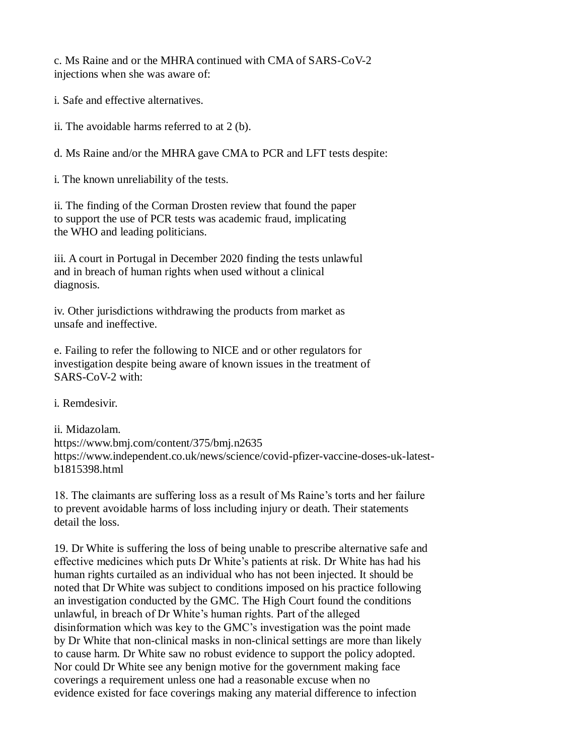c. Ms Raine and or the MHRA continued with CMA of SARS-CoV-2 injections when she was aware of:

i. Safe and effective alternatives.

ii. The avoidable harms referred to at 2 (b).

d. Ms Raine and/or the MHRA gave CMA to PCR and LFT tests despite:

i. The known unreliability of the tests.

ii. The finding of the Corman Drosten review that found the paper to support the use of PCR tests was academic fraud, implicating the WHO and leading politicians.

iii. A court in Portugal in December 2020 finding the tests unlawful and in breach of human rights when used without a clinical diagnosis.

iv. Other jurisdictions withdrawing the products from market as unsafe and ineffective.

e. Failing to refer the following to NICE and or other regulators for investigation despite being aware of known issues in the treatment of SARS-CoV-2 with:

i. Remdesivir.

ii. Midazolam. https://www.bmj.com/content/375/bmj.n2635 https://www.independent.co.uk/news/science/covid-pfizer-vaccine-doses-uk-latestb1815398.html

18. The claimants are suffering loss as a result of Ms Raine's torts and her failure to prevent avoidable harms of loss including injury or death. Their statements detail the loss.

19. Dr White is suffering the loss of being unable to prescribe alternative safe and effective medicines which puts Dr White's patients at risk. Dr White has had his human rights curtailed as an individual who has not been injected. It should be noted that Dr White was subject to conditions imposed on his practice following an investigation conducted by the GMC. The High Court found the conditions unlawful, in breach of Dr White's human rights. Part of the alleged disinformation which was key to the GMC's investigation was the point made by Dr White that non-clinical masks in non-clinical settings are more than likely to cause harm. Dr White saw no robust evidence to support the policy adopted. Nor could Dr White see any benign motive for the government making face coverings a requirement unless one had a reasonable excuse when no evidence existed for face coverings making any material difference to infection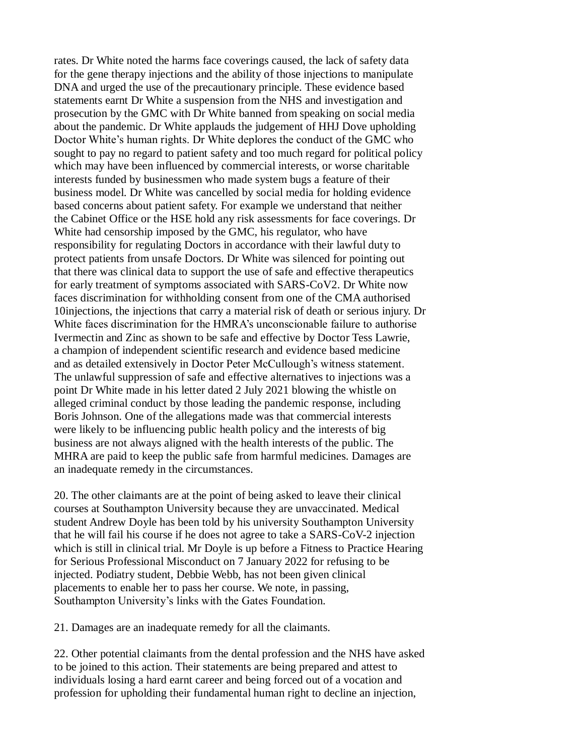rates. Dr White noted the harms face coverings caused, the lack of safety data for the gene therapy injections and the ability of those injections to manipulate DNA and urged the use of the precautionary principle. These evidence based statements earnt Dr White a suspension from the NHS and investigation and prosecution by the GMC with Dr White banned from speaking on social media about the pandemic. Dr White applauds the judgement of HHJ Dove upholding Doctor White's human rights. Dr White deplores the conduct of the GMC who sought to pay no regard to patient safety and too much regard for political policy which may have been influenced by commercial interests, or worse charitable interests funded by businessmen who made system bugs a feature of their business model. Dr White was cancelled by social media for holding evidence based concerns about patient safety. For example we understand that neither the Cabinet Office or the HSE hold any risk assessments for face coverings. Dr White had censorship imposed by the GMC, his regulator, who have responsibility for regulating Doctors in accordance with their lawful duty to protect patients from unsafe Doctors. Dr White was silenced for pointing out that there was clinical data to support the use of safe and effective therapeutics for early treatment of symptoms associated with SARS-CoV2. Dr White now faces discrimination for withholding consent from one of the CMA authorised 10injections, the injections that carry a material risk of death or serious injury. Dr White faces discrimination for the HMRA's unconscionable failure to authorise Ivermectin and Zinc as shown to be safe and effective by Doctor Tess Lawrie, a champion of independent scientific research and evidence based medicine and as detailed extensively in Doctor Peter McCullough's witness statement. The unlawful suppression of safe and effective alternatives to injections was a point Dr White made in his letter dated 2 July 2021 blowing the whistle on alleged criminal conduct by those leading the pandemic response, including Boris Johnson. One of the allegations made was that commercial interests were likely to be influencing public health policy and the interests of big business are not always aligned with the health interests of the public. The MHRA are paid to keep the public safe from harmful medicines. Damages are an inadequate remedy in the circumstances.

20. The other claimants are at the point of being asked to leave their clinical courses at Southampton University because they are unvaccinated. Medical student Andrew Doyle has been told by his university Southampton University that he will fail his course if he does not agree to take a SARS-CoV-2 injection which is still in clinical trial. Mr Doyle is up before a Fitness to Practice Hearing for Serious Professional Misconduct on 7 January 2022 for refusing to be injected. Podiatry student, Debbie Webb, has not been given clinical placements to enable her to pass her course. We note, in passing, Southampton University's links with the Gates Foundation.

21. Damages are an inadequate remedy for all the claimants.

22. Other potential claimants from the dental profession and the NHS have asked to be joined to this action. Their statements are being prepared and attest to individuals losing a hard earnt career and being forced out of a vocation and profession for upholding their fundamental human right to decline an injection,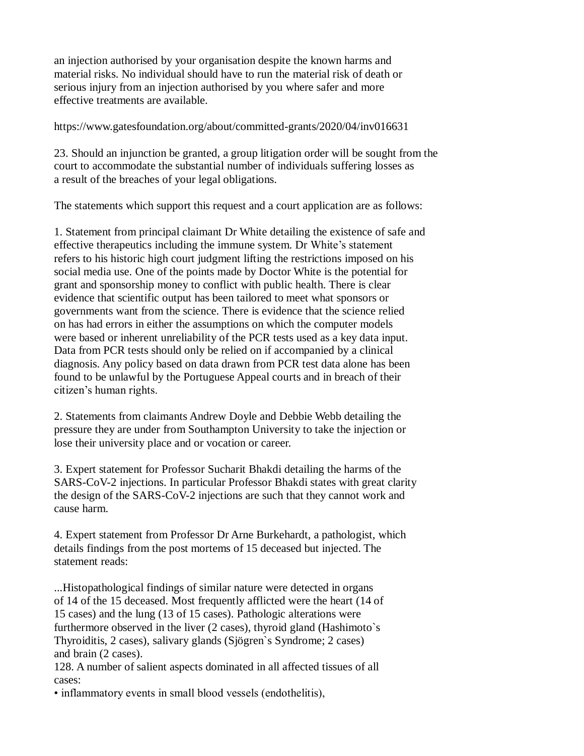an injection authorised by your organisation despite the known harms and material risks. No individual should have to run the material risk of death or serious injury from an injection authorised by you where safer and more effective treatments are available.

<https://www.gatesfoundation.org/about/committed-grants/2020/04/inv016631>

23. Should an injunction be granted, a group litigation order will be sought from the court to accommodate the substantial number of individuals suffering losses as a result of the breaches of your legal obligations.

The statements which support this request and a court application are as follows:

1. Statement from principal claimant Dr White detailing the existence of safe and effective therapeutics including the immune system. Dr White's statement refers to his historic high court judgment lifting the restrictions imposed on his social media use. One of the points made by Doctor White is the potential for grant and sponsorship money to conflict with public health. There is clear evidence that scientific output has been tailored to meet what sponsors or governments want from the science. There is evidence that the science relied on has had errors in either the assumptions on which the computer models were based or inherent unreliability of the PCR tests used as a key data input. Data from PCR tests should only be relied on if accompanied by a clinical diagnosis. Any policy based on data drawn from PCR test data alone has been found to be unlawful by the Portuguese Appeal courts and in breach of their citizen's human rights.

2. Statements from claimants Andrew Doyle and Debbie Webb detailing the pressure they are under from Southampton University to take the injection or lose their university place and or vocation or career.

3. Expert statement for Professor Sucharit Bhakdi detailing the harms of the SARS-CoV-2 injections. In particular Professor Bhakdi states with great clarity the design of the SARS-CoV-2 injections are such that they cannot work and cause harm.

4. Expert statement from Professor Dr Arne Burkehardt, a pathologist, which details findings from the post mortems of 15 deceased but injected. The statement reads:

...Histopathological findings of similar nature were detected in organs of 14 of the 15 deceased. Most frequently afflicted were the heart (14 of 15 cases) and the lung (13 of 15 cases). Pathologic alterations were furthermore observed in the liver (2 cases), thyroid gland (Hashimoto`s Thyroiditis, 2 cases), salivary glands (Sjögren`s Syndrome; 2 cases) and brain (2 cases).

128. A number of salient aspects dominated in all affected tissues of all cases:

• inflammatory events in small blood vessels (endothelitis),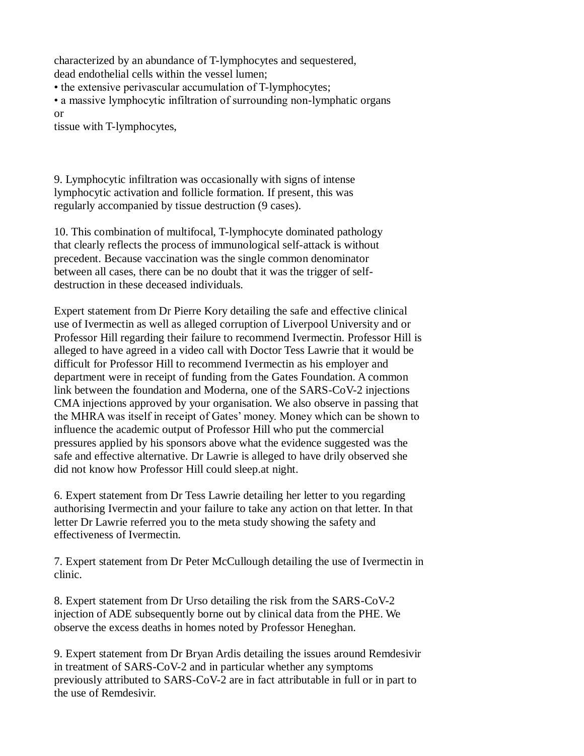characterized by an abundance of T-lymphocytes and sequestered, dead endothelial cells within the vessel lumen;

• the extensive perivascular accumulation of T-lymphocytes;

• a massive lymphocytic infiltration of surrounding non-lymphatic organs or

tissue with T-lymphocytes,

9. Lymphocytic infiltration was occasionally with signs of intense lymphocytic activation and follicle formation. If present, this was regularly accompanied by tissue destruction (9 cases).

10. This combination of multifocal, T-lymphocyte dominated pathology that clearly reflects the process of immunological self-attack is without precedent. Because vaccination was the single common denominator between all cases, there can be no doubt that it was the trigger of selfdestruction in these deceased individuals.

Expert statement from Dr Pierre Kory detailing the safe and effective clinical use of Ivermectin as well as alleged corruption of Liverpool University and or Professor Hill regarding their failure to recommend Ivermectin. Professor Hill is alleged to have agreed in a video call with Doctor Tess Lawrie that it would be difficult for Professor Hill to recommend Ivermectin as his employer and department were in receipt of funding from the Gates Foundation. A common link between the foundation and Moderna, one of the SARS-CoV-2 injections CMA injections approved by your organisation. We also observe in passing that the MHRA was itself in receipt of Gates' money. Money which can be shown to influence the academic output of Professor Hill who put the commercial pressures applied by his sponsors above what the evidence suggested was the safe and effective alternative. Dr Lawrie is alleged to have drily observed she did not know how Professor Hill could sleep.at night.

6. Expert statement from Dr Tess Lawrie detailing her letter to you regarding authorising Ivermectin and your failure to take any action on that letter. In that letter Dr Lawrie referred you to the meta study showing the safety and effectiveness of Ivermectin.

7. Expert statement from Dr Peter McCullough detailing the use of Ivermectin in clinic.

8. Expert statement from Dr Urso detailing the risk from the SARS-CoV-2 injection of ADE subsequently borne out by clinical data from the PHE. We observe the excess deaths in homes noted by Professor Heneghan.

9. Expert statement from Dr Bryan Ardis detailing the issues around Remdesivir in treatment of SARS-CoV-2 and in particular whether any symptoms previously attributed to SARS-CoV-2 are in fact attributable in full or in part to the use of Remdesivir.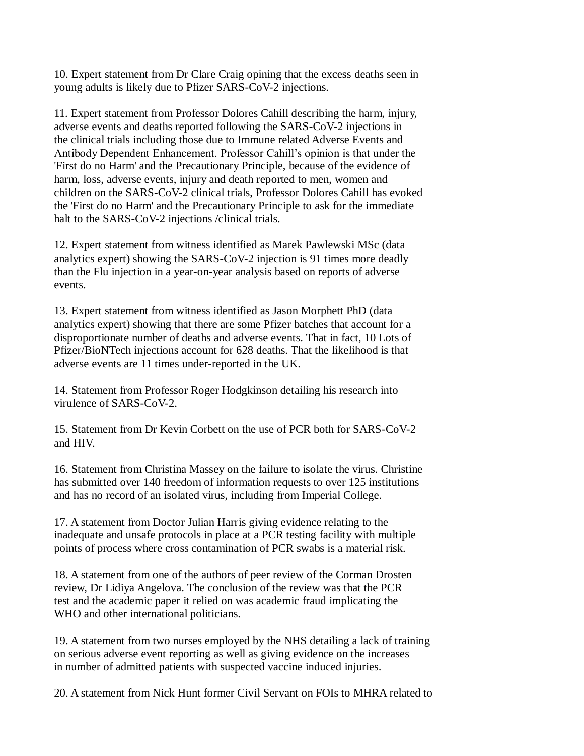10. Expert statement from Dr Clare Craig opining that the excess deaths seen in young adults is likely due to Pfizer SARS-CoV-2 injections.

11. Expert statement from Professor Dolores Cahill describing the harm, injury, adverse events and deaths reported following the SARS-CoV-2 injections in the clinical trials including those due to Immune related Adverse Events and Antibody Dependent Enhancement. Professor Cahill's opinion is that under the 'First do no Harm' and the Precautionary Principle, because of the evidence of harm, loss, adverse events, injury and death reported to men, women and children on the SARS-CoV-2 clinical trials, Professor Dolores Cahill has evoked the 'First do no Harm' and the Precautionary Principle to ask for the immediate halt to the SARS-CoV-2 injections / clinical trials.

12. Expert statement from witness identified as Marek Pawlewski MSc (data analytics expert) showing the SARS-CoV-2 injection is 91 times more deadly than the Flu injection in a year-on-year analysis based on reports of adverse events.

13. Expert statement from witness identified as Jason Morphett PhD (data analytics expert) showing that there are some Pfizer batches that account for a disproportionate number of deaths and adverse events. That in fact, 10 Lots of Pfizer/BioNTech injections account for 628 deaths. That the likelihood is that adverse events are 11 times under-reported in the UK.

14. Statement from Professor Roger Hodgkinson detailing his research into virulence of SARS-CoV-2.

15. Statement from Dr Kevin Corbett on the use of PCR both for SARS-CoV-2 and HIV.

16. Statement from Christina Massey on the failure to isolate the virus. Christine has submitted over 140 freedom of information requests to over 125 institutions and has no record of an isolated virus, including from Imperial College.

17. A statement from Doctor Julian Harris giving evidence relating to the inadequate and unsafe protocols in place at a PCR testing facility with multiple points of process where cross contamination of PCR swabs is a material risk.

18. A statement from one of the authors of peer review of the Corman Drosten review, Dr Lidiya Angelova. The conclusion of the review was that the PCR test and the academic paper it relied on was academic fraud implicating the WHO and other international politicians.

19. A statement from two nurses employed by the NHS detailing a lack of training on serious adverse event reporting as well as giving evidence on the increases in number of admitted patients with suspected vaccine induced injuries.

20. A statement from Nick Hunt former Civil Servant on FOIs to MHRA related to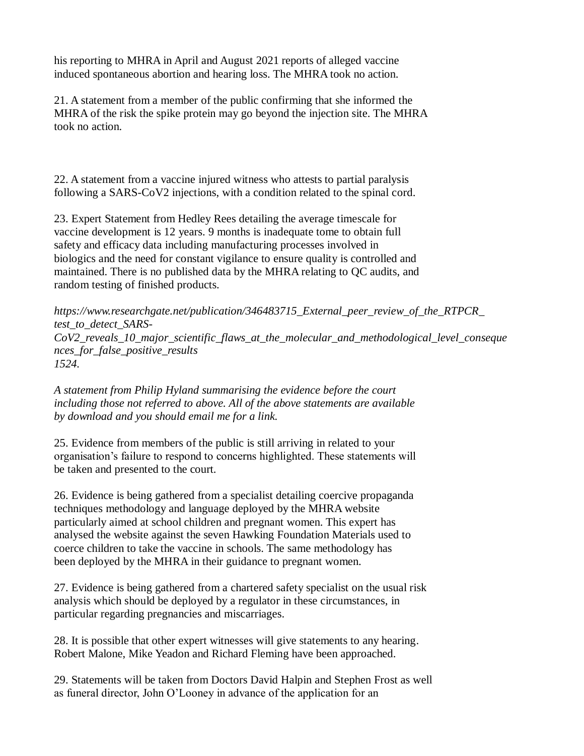his reporting to MHRA in April and August 2021 reports of alleged vaccine induced spontaneous abortion and hearing loss. The MHRA took no action.

21. A statement from a member of the public confirming that she informed the MHRA of the risk the spike protein may go beyond the injection site. The MHRA took no action.

22. A statement from a vaccine injured witness who attests to partial paralysis following a SARS-CoV2 injections, with a condition related to the spinal cord.

23. Expert Statement from Hedley Rees detailing the average timescale for vaccine development is 12 years. 9 months is inadequate tome to obtain full safety and efficacy data including manufacturing processes involved in biologics and the need for constant vigilance to ensure quality is controlled and maintained. There is no published data by the MHRA relating to QC audits, and random testing of finished products.

*https://www.researchgate.net/publication/346483715\_External\_peer\_review\_of\_the\_RTPCR\_ test\_to\_detect\_SARS-CoV2\_reveals\_10\_major\_scientific\_flaws\_at\_the\_molecular\_and\_methodological\_level\_conseque nces\_for\_false\_positive\_results 1524.*

*A statement from Philip Hyland summarising the evidence before the court including those not referred to above. All of the above statements are available by download and you should email me for a link.*

25. Evidence from members of the public is still arriving in related to your organisation's failure to respond to concerns highlighted. These statements will be taken and presented to the court.

26. Evidence is being gathered from a specialist detailing coercive propaganda techniques methodology and language deployed by the MHRA website particularly aimed at school children and pregnant women. This expert has analysed the website against the seven Hawking Foundation Materials used to coerce children to take the vaccine in schools. The same methodology has been deployed by the MHRA in their guidance to pregnant women.

27. Evidence is being gathered from a chartered safety specialist on the usual risk analysis which should be deployed by a regulator in these circumstances, in particular regarding pregnancies and miscarriages.

28. It is possible that other expert witnesses will give statements to any hearing. Robert Malone, Mike Yeadon and Richard Fleming have been approached.

29. Statements will be taken from Doctors David Halpin and Stephen Frost as well as funeral director, John O'Looney in advance of the application for an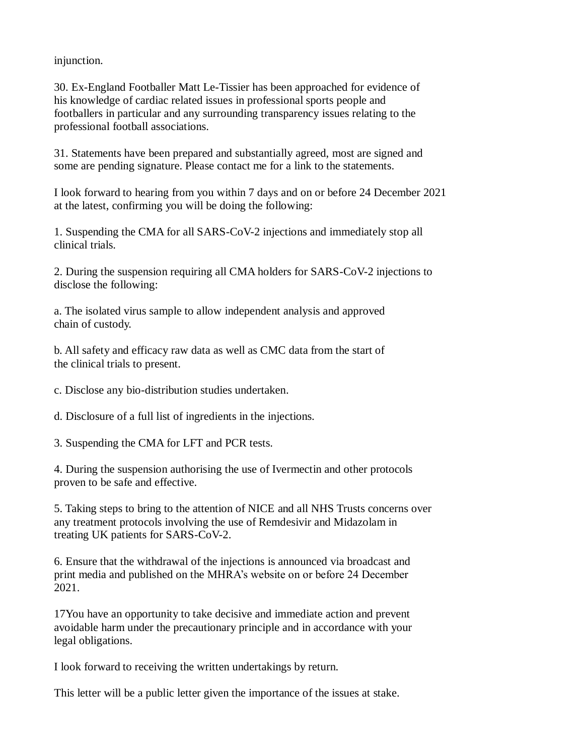injunction.

30. Ex-England Footballer Matt Le-Tissier has been approached for evidence of his knowledge of cardiac related issues in professional sports people and footballers in particular and any surrounding transparency issues relating to the professional football associations.

31. Statements have been prepared and substantially agreed, most are signed and some are pending signature. Please contact me for a link to the statements.

I look forward to hearing from you within 7 days and on or before 24 December 2021 at the latest, confirming you will be doing the following:

1. Suspending the CMA for all SARS-CoV-2 injections and immediately stop all clinical trials.

2. During the suspension requiring all CMA holders for SARS-CoV-2 injections to disclose the following:

a. The isolated virus sample to allow independent analysis and approved chain of custody.

b. All safety and efficacy raw data as well as CMC data from the start of the clinical trials to present.

c. Disclose any bio-distribution studies undertaken.

d. Disclosure of a full list of ingredients in the injections.

3. Suspending the CMA for LFT and PCR tests.

4. During the suspension authorising the use of Ivermectin and other protocols proven to be safe and effective.

5. Taking steps to bring to the attention of NICE and all NHS Trusts concerns over any treatment protocols involving the use of Remdesivir and Midazolam in treating UK patients for SARS-CoV-2.

6. Ensure that the withdrawal of the injections is announced via broadcast and print media and published on the MHRA's website on or before 24 December 2021.

17You have an opportunity to take decisive and immediate action and prevent avoidable harm under the precautionary principle and in accordance with your legal obligations.

I look forward to receiving the written undertakings by return.

This letter will be a public letter given the importance of the issues at stake.